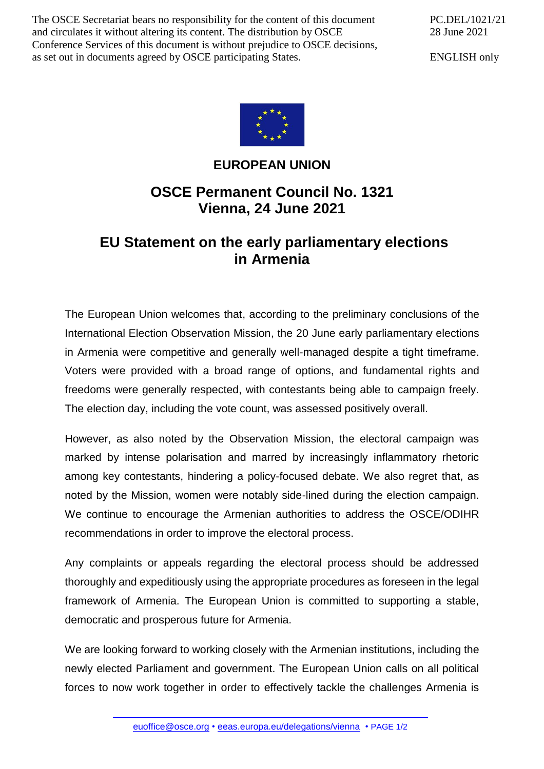The OSCE Secretariat bears no responsibility for the content of this document and circulates it without altering its content. The distribution by OSCE Conference Services of this document is without prejudice to OSCE decisions, as set out in documents agreed by OSCE participating States.

PC.DEL/1021/21 28 June 2021

ENGLISH only



## **EUROPEAN UNION**

## **OSCE Permanent Council No. 1321 Vienna, 24 June 2021**

## **EU Statement on the early parliamentary elections in Armenia**

The European Union welcomes that, according to the preliminary conclusions of the International Election Observation Mission, the 20 June early parliamentary elections in Armenia were competitive and generally well-managed despite a tight timeframe. Voters were provided with a broad range of options, and fundamental rights and freedoms were generally respected, with contestants being able to campaign freely. The election day, including the vote count, was assessed positively overall.

However, as also noted by the Observation Mission, the electoral campaign was marked by intense polarisation and marred by increasingly inflammatory rhetoric among key contestants, hindering a policy-focused debate. We also regret that, as noted by the Mission, women were notably side-lined during the election campaign. We continue to encourage the Armenian authorities to address the OSCE/ODIHR recommendations in order to improve the electoral process.

Any complaints or appeals regarding the electoral process should be addressed thoroughly and expeditiously using the appropriate procedures as foreseen in the legal framework of Armenia. The European Union is committed to supporting a stable, democratic and prosperous future for Armenia.

We are looking forward to working closely with the Armenian institutions, including the newly elected Parliament and government. The European Union calls on all political forces to now work together in order to effectively tackle the challenges Armenia is